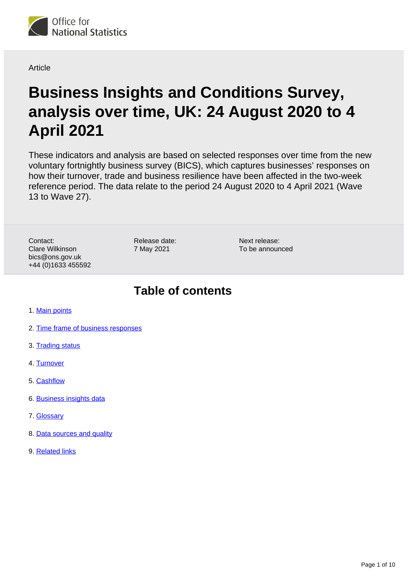

**Article** 

# **Business Insights and Conditions Survey, analysis over time, UK: 24 August 2020 to 4 April 2021**

These indicators and analysis are based on selected responses over time from the new voluntary fortnightly business survey (BICS), which captures businesses' responses on how their turnover, trade and business resilience have been affected in the two-week reference period. The data relate to the period 24 August 2020 to 4 April 2021 (Wave 13 to Wave 27).

Contact: Clare Wilkinson bics@ons.gov.uk +44 (0)1633 455592 Release date: 7 May 2021

Next release: To be announced

## **Table of contents**

- 1. [Main points](#page-1-0)
- 2. [Time frame of business responses](#page-1-1)
- 3. [Trading status](#page-2-0)
- 4. [Turnover](#page-4-0)
- 5. [Cashflow](#page-4-1)
- 6. [Business insights data](#page-5-0)
- 7. [Glossary](#page-5-1)
- 8. [Data sources and quality](#page-6-0)
- 9. [Related links](#page-9-0)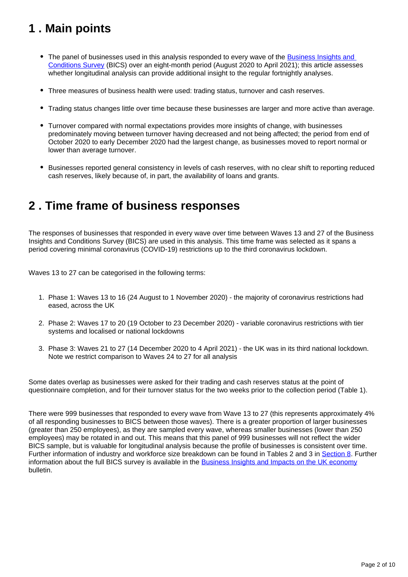# <span id="page-1-0"></span>**1 . Main points**

- The panel of businesses used in this analysis responded to every wave of the Business Insights and [Conditions Survey](https://www.ons.gov.uk/businessindustryandtrade/business/businessservices/bulletins/businessinsightsandimpactontheukeconomy/25march2021) (BICS) over an eight-month period (August 2020 to April 2021); this article assesses whether longitudinal analysis can provide additional insight to the regular fortnightly analyses.
- Three measures of business health were used: trading status, turnover and cash reserves.
- Trading status changes little over time because these businesses are larger and more active than average.
- Turnover compared with normal expectations provides more insights of change, with businesses predominately moving between turnover having decreased and not being affected; the period from end of October 2020 to early December 2020 had the largest change, as businesses moved to report normal or lower than average turnover.
- Businesses reported general consistency in levels of cash reserves, with no clear shift to reporting reduced cash reserves, likely because of, in part, the availability of loans and grants.

### <span id="page-1-1"></span>**2 . Time frame of business responses**

The responses of businesses that responded in every wave over time between Waves 13 and 27 of the Business Insights and Conditions Survey (BICS) are used in this analysis. This time frame was selected as it spans a period covering minimal coronavirus (COVID-19) restrictions up to the third coronavirus lockdown.

Waves 13 to 27 can be categorised in the following terms:

- 1. Phase 1: Waves 13 to 16 (24 August to 1 November 2020) the majority of coronavirus restrictions had eased, across the UK
- 2. Phase 2: Waves 17 to 20 (19 October to 23 December 2020) variable coronavirus restrictions with tier systems and localised or national lockdowns
- 3. Phase 3: Waves 21 to 27 (14 December 2020 to 4 April 2021) the UK was in its third national lockdown. Note we restrict comparison to Waves 24 to 27 for all analysis

Some dates overlap as businesses were asked for their trading and cash reserves status at the point of questionnaire completion, and for their turnover status for the two weeks prior to the collection period (Table 1).

There were 999 businesses that responded to every wave from Wave 13 to 27 (this represents approximately 4% of all responding businesses to BICS between those waves). There is a greater proportion of larger businesses (greater than 250 employees), as they are sampled every wave, whereas smaller businesses (lower than 250 employees) may be rotated in and out. This means that this panel of 999 businesses will not reflect the wider BICS sample, but is valuable for longitudinal analysis because the profile of businesses is consistent over time. Further information of industry and workforce size breakdown can be found in Tables 2 and 3 in [Section 8](https://www.ons.gov.uk/businessindustryandtrade/business/businessservices/articles/insightsofthebusinessimpactofcoronaviruscovid19survey/24august2020to4april2021#related-links). Further information about the full BICS survey is available in the [Business Insights and Impacts on the UK economy](https://www.ons.gov.uk/businessindustryandtrade/business/businessservices/bulletins/businessinsightsandimpactontheukeconomy/25march2021) bulletin.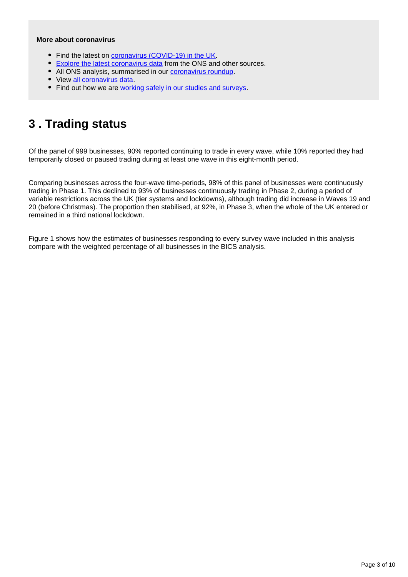#### **More about coronavirus**

- Find the latest on [coronavirus \(COVID-19\) in the UK.](https://www.ons.gov.uk/peoplepopulationandcommunity/healthandsocialcare/conditionsanddiseases)
- [Explore the latest coronavirus data](https://www.ons.gov.uk/peoplepopulationandcommunity/healthandsocialcare/conditionsanddiseases/articles/coronaviruscovid19/latestinsights) from the ONS and other sources.
- All ONS analysis, summarised in our [coronavirus roundup.](https://www.ons.gov.uk/peoplepopulationandcommunity/healthandsocialcare/conditionsanddiseases/articles/coronaviruscovid19roundup/latest)
- View [all coronavirus data](https://www.ons.gov.uk/peoplepopulationandcommunity/healthandsocialcare/conditionsanddiseases/datalist).
- Find out how we are [working safely in our studies and surveys.](https://www.ons.gov.uk/news/statementsandletters/ensuringyoursafetyduringcovid19)

## <span id="page-2-0"></span>**3 . Trading status**

Of the panel of 999 businesses, 90% reported continuing to trade in every wave, while 10% reported they had temporarily closed or paused trading during at least one wave in this eight-month period.

Comparing businesses across the four-wave time-periods, 98% of this panel of businesses were continuously trading in Phase 1. This declined to 93% of businesses continuously trading in Phase 2, during a period of variable restrictions across the UK (tier systems and lockdowns), although trading did increase in Waves 19 and 20 (before Christmas). The proportion then stabilised, at 92%, in Phase 3, when the whole of the UK entered or remained in a third national lockdown.

Figure 1 shows how the estimates of businesses responding to every survey wave included in this analysis compare with the weighted percentage of all businesses in the BICS analysis.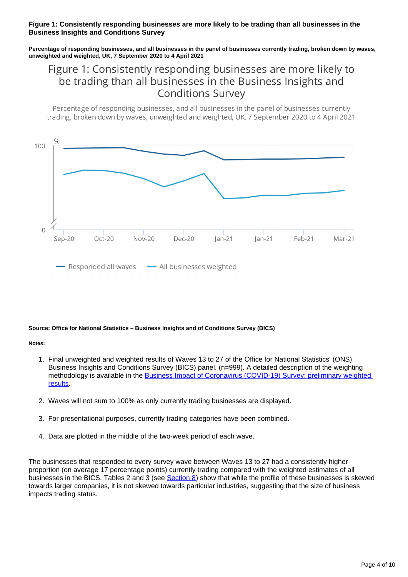#### **Figure 1: Consistently responding businesses are more likely to be trading than all businesses in the Business Insights and Conditions Survey**

**Percentage of responding businesses, and all businesses in the panel of businesses currently trading, broken down by waves, unweighted and weighted, UK, 7 September 2020 to 4 April 2021**

### Figure 1: Consistently responding businesses are more likely to be trading than all businesses in the Business Insights and **Conditions Survey**

Percentage of responding businesses, and all businesses in the panel of businesses currently trading, broken down by wayes, unweighted and weighted, UK, 7 September 2020 to 4 April 2021



#### **Source: Office for National Statistics – Business Insights and of Conditions Survey (BICS)**

#### **Notes:**

- 1. Final unweighted and weighted results of Waves 13 to 27 of the Office for National Statistics' (ONS) Business Insights and Conditions Survey (BICS) panel. (n=999). A detailed description of the weighting methodology is available in the [Business Impact of Coronavirus \(COVID-19\) Survey: preliminary weighted](https://www.ons.gov.uk/businessindustryandtrade/business/businessservices/articles/businessimpactofcoronaviruscovid19survey/preliminaryweightedresults)  [results](https://www.ons.gov.uk/businessindustryandtrade/business/businessservices/articles/businessimpactofcoronaviruscovid19survey/preliminaryweightedresults).
- 2. Waves will not sum to 100% as only currently trading businesses are displayed.
- 3. For presentational purposes, currently trading categories have been combined.
- 4. Data are plotted in the middle of the two-week period of each wave.

The businesses that responded to every survey wave between Waves 13 to 27 had a consistently higher proportion (on average 17 percentage points) currently trading compared with the weighted estimates of all businesses in the BICS. Tables 2 and 3 (see [Section 8\)](https://www.ons.gov.uk/businessindustryandtrade/business/businessservices/articles/insightsofthebusinessimpactofcoronaviruscovid19survey/24august2020to4april2021#data-sources-and-quality) show that while the profile of these businesses is skewed towards larger companies, it is not skewed towards particular industries, suggesting that the size of business impacts trading status.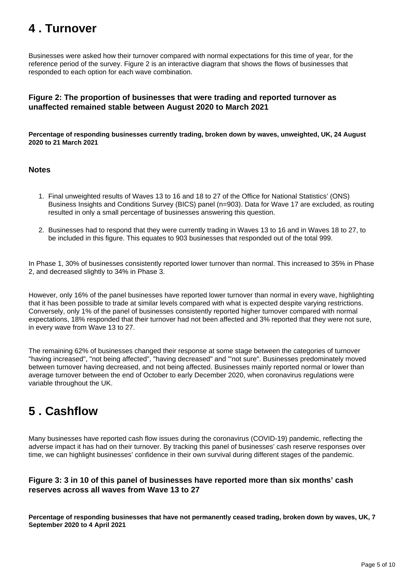# <span id="page-4-0"></span>**4 . Turnover**

Businesses were asked how their turnover compared with normal expectations for this time of year, for the reference period of the survey. Figure 2 is an interactive diagram that shows the flows of businesses that responded to each option for each wave combination.

#### **Figure 2: The proportion of businesses that were trading and reported turnover as unaffected remained stable between August 2020 to March 2021**

**Percentage of responding businesses currently trading, broken down by waves, unweighted, UK, 24 August 2020 to 21 March 2021**

#### **Notes**

- 1. Final unweighted results of Waves 13 to 16 and 18 to 27 of the Office for National Statistics' (ONS) Business Insights and Conditions Survey (BICS) panel (n=903). Data for Wave 17 are excluded, as routing resulted in only a small percentage of businesses answering this question.
- 2. Businesses had to respond that they were currently trading in Waves 13 to 16 and in Waves 18 to 27, to be included in this figure. This equates to 903 businesses that responded out of the total 999.

In Phase 1, 30% of businesses consistently reported lower turnover than normal. This increased to 35% in Phase 2, and decreased slightly to 34% in Phase 3.

However, only 16% of the panel businesses have reported lower turnover than normal in every wave, highlighting that it has been possible to trade at similar levels compared with what is expected despite varying restrictions. Conversely, only 1% of the panel of businesses consistently reported higher turnover compared with normal expectations, 18% responded that their turnover had not been affected and 3% reported that they were not sure, in every wave from Wave 13 to 27.

The remaining 62% of businesses changed their response at some stage between the categories of turnover "having increased", "not being affected", "having decreased" and "'not sure". Businesses predominately moved between turnover having decreased, and not being affected. Businesses mainly reported normal or lower than average turnover between the end of October to early December 2020, when coronavirus regulations were variable throughout the UK.

# <span id="page-4-1"></span>**5 . Cashflow**

Many businesses have reported cash flow issues during the coronavirus (COVID-19) pandemic, reflecting the adverse impact it has had on their turnover. By tracking this panel of businesses' cash reserve responses over time, we can highlight businesses' confidence in their own survival during different stages of the pandemic.

#### **Figure 3: 3 in 10 of this panel of businesses have reported more than six months' cash reserves across all waves from Wave 13 to 27**

**Percentage of responding businesses that have not permanently ceased trading, broken down by waves, UK, 7 September 2020 to 4 April 2021**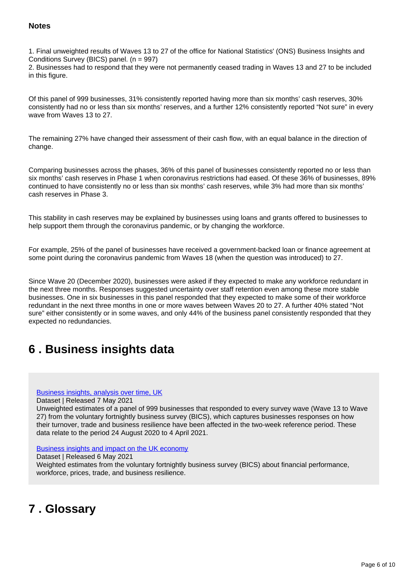#### **Notes**

1. Final unweighted results of Waves 13 to 27 of the office for National Statistics' (ONS) Business Insights and Conditions Survey (BICS) panel. (n = 997)

2. Businesses had to respond that they were not permanently ceased trading in Waves 13 and 27 to be included in this figure.

Of this panel of 999 businesses, 31% consistently reported having more than six months' cash reserves, 30% consistently had no or less than six months' reserves, and a further 12% consistently reported "Not sure" in every wave from Waves 13 to 27.

The remaining 27% have changed their assessment of their cash flow, with an equal balance in the direction of change.

Comparing businesses across the phases, 36% of this panel of businesses consistently reported no or less than six months' cash reserves in Phase 1 when coronavirus restrictions had eased. Of these 36% of businesses, 89% continued to have consistently no or less than six months' cash reserves, while 3% had more than six months' cash reserves in Phase 3.

This stability in cash reserves may be explained by businesses using loans and grants offered to businesses to help support them through the coronavirus pandemic, or by changing the workforce.

For example, 25% of the panel of businesses have received a government-backed loan or finance agreement at some point during the coronavirus pandemic from Waves 18 (when the question was introduced) to 27.

Since Wave 20 (December 2020), businesses were asked if they expected to make any workforce redundant in the next three months. Responses suggested uncertainty over staff retention even among these more stable businesses. One in six businesses in this panel responded that they expected to make some of their workforce redundant in the next three months in one or more waves between Waves 20 to 27. A further 40% stated "Not sure" either consistently or in some waves, and only 44% of the business panel consistently responded that they expected no redundancies.

# <span id="page-5-0"></span>**6 . Business insights data**

#### [Business insights, analysis over time, UK](https://www.ons.gov.uk/businessindustryandtrade/business/businessservices/datasets/businessinsightsanalysisovertimeuk)

Dataset | Released 7 May 2021

Unweighted estimates of a panel of 999 businesses that responded to every survey wave (Wave 13 to Wave 27) from the voluntary fortnightly business survey (BICS), which captures businesses responses on how their turnover, trade and business resilience have been affected in the two-week reference period. These data relate to the period 24 August 2020 to 4 April 2021.

#### [Business insights and impact on the UK economy](https://www.ons.gov.uk/economy/economicoutputandproductivity/output/datasets/businessinsightsandimpactontheukeconomy)

#### Dataset | Released 6 May 2021

Weighted estimates from the voluntary fortnightly business survey (BICS) about financial performance, workforce, prices, trade, and business resilience.

# <span id="page-5-1"></span>**7 . Glossary**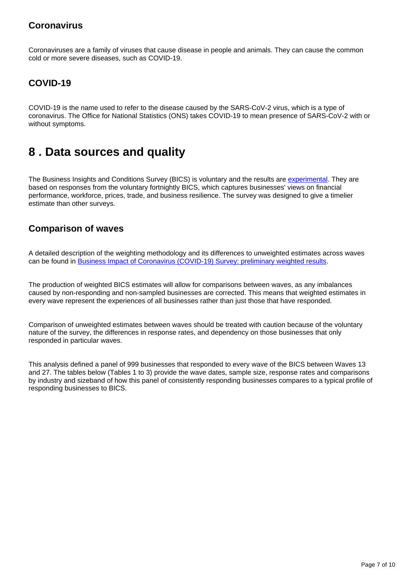### **Coronavirus**

Coronaviruses are a family of viruses that cause disease in people and animals. They can cause the common cold or more severe diseases, such as COVID-19.

### **COVID-19**

COVID-19 is the name used to refer to the disease caused by the SARS-CoV-2 virus, which is a type of coronavirus. The Office for National Statistics (ONS) takes COVID-19 to mean presence of SARS-CoV-2 with or without symptoms.

### <span id="page-6-0"></span>**8 . Data sources and quality**

The Business Insights and Conditions Survey (BICS) is voluntary and the results are [experimental](https://www.ons.gov.uk/methodology/methodologytopicsandstatisticalconcepts/guidetoexperimentalstatistics). They are based on responses from the voluntary fortnightly BICS, which captures businesses' views on financial performance, workforce, prices, trade, and business resilience. The survey was designed to give a timelier estimate than other surveys.

### **Comparison of waves**

A detailed description of the weighting methodology and its differences to unweighted estimates across waves can be found in [Business Impact of Coronavirus \(COVID-19\) Survey: preliminary weighted results.](https://www.ons.gov.uk/businessindustryandtrade/business/businessservices/articles/businessimpactofcoronaviruscovid19survey/preliminaryweightedresults)

The production of weighted BICS estimates will allow for comparisons between waves, as any imbalances caused by non-responding and non-sampled businesses are corrected. This means that weighted estimates in every wave represent the experiences of all businesses rather than just those that have responded.

Comparison of unweighted estimates between waves should be treated with caution because of the voluntary nature of the survey, the differences in response rates, and dependency on those businesses that only responded in particular waves.

This analysis defined a panel of 999 businesses that responded to every wave of the BICS between Waves 13 and 27. The tables below (Tables 1 to 3) provide the wave dates, sample size, response rates and comparisons by industry and sizeband of how this panel of consistently responding businesses compares to a typical profile of responding businesses to BICS.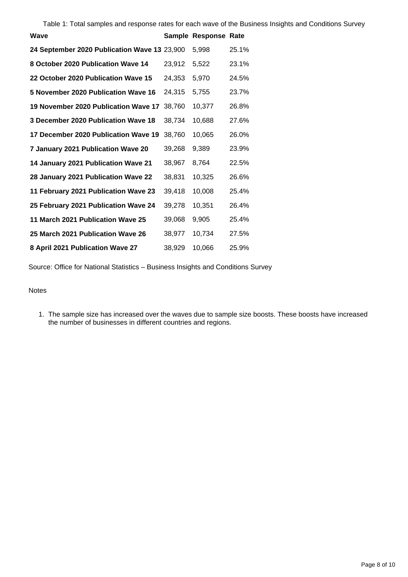Table 1: Total samples and response rates for each wave of the Business Insights and Conditions Survey

| Wave                                         |        | Sample Response Rate |       |
|----------------------------------------------|--------|----------------------|-------|
| 24 September 2020 Publication Wave 13 23,900 |        | 5,998                | 25.1% |
| 8 October 2020 Publication Wave 14           | 23,912 | 5,522                | 23.1% |
| 22 October 2020 Publication Wave 15          | 24,353 | 5,970                | 24.5% |
| 5 November 2020 Publication Wave 16          | 24,315 | 5,755                | 23.7% |
| 19 November 2020 Publication Wave 17         | 38,760 | 10,377               | 26.8% |
| 3 December 2020 Publication Wave 18          | 38,734 | 10,688               | 27.6% |
| 17 December 2020 Publication Wave 19         | 38,760 | 10,065               | 26.0% |
| 7 January 2021 Publication Wave 20           | 39,268 | 9,389                | 23.9% |
| 14 January 2021 Publication Wave 21          | 38,967 | 8,764                | 22.5% |
| 28 January 2021 Publication Wave 22          | 38,831 | 10,325               | 26.6% |
| 11 February 2021 Publication Wave 23         | 39,418 | 10,008               | 25.4% |
| 25 February 2021 Publication Wave 24         | 39,278 | 10.351               | 26.4% |
| 11 March 2021 Publication Wave 25            | 39,068 | 9,905                | 25.4% |
| 25 March 2021 Publication Wave 26            | 38,977 | 10,734               | 27.5% |
| 8 April 2021 Publication Wave 27             | 38,929 | 10,066               | 25.9% |

Source: Office for National Statistics – Business Insights and Conditions Survey

#### **Notes**

1. The sample size has increased over the waves due to sample size boosts. These boosts have increased the number of businesses in different countries and regions.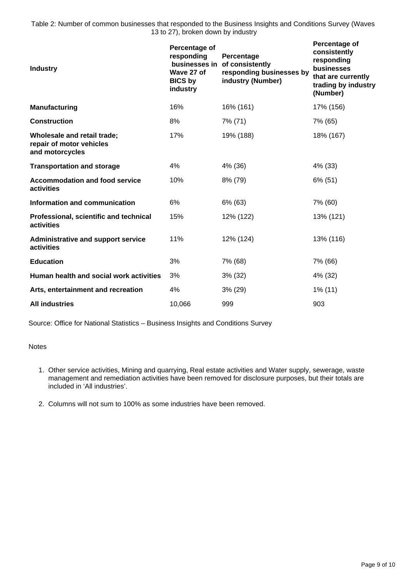Table 2: Number of common businesses that responded to the Business Insights and Conditions Survey (Waves 13 to 27), broken down by industry

| Percentage of<br>responding<br>Wave 27 of<br><b>BICS by</b><br>industry | Percentage<br>of consistently<br>responding businesses by<br>industry (Number) | Percentage of<br>consistently<br>responding<br>businesses<br>that are currently<br>trading by industry<br>(Number) |
|-------------------------------------------------------------------------|--------------------------------------------------------------------------------|--------------------------------------------------------------------------------------------------------------------|
| 16%                                                                     | 16% (161)                                                                      | 17% (156)                                                                                                          |
| 8%                                                                      | 7% (71)                                                                        | 7% (65)                                                                                                            |
| 17%                                                                     | 19% (188)                                                                      | 18% (167)                                                                                                          |
| 4%                                                                      | 4% (36)                                                                        | 4% (33)                                                                                                            |
| 10%                                                                     | 8% (79)                                                                        | 6% (51)                                                                                                            |
| 6%                                                                      | 6% (63)                                                                        | 7% (60)                                                                                                            |
| 15%                                                                     | 12% (122)                                                                      | 13% (121)                                                                                                          |
| 11%                                                                     | 12% (124)                                                                      | 13% (116)                                                                                                          |
| 3%                                                                      | 7% (68)                                                                        | 7% (66)                                                                                                            |
| 3%                                                                      | 3% (32)                                                                        | 4% (32)                                                                                                            |
| 4%                                                                      | $3\%$ (29)                                                                     | 1% (11)                                                                                                            |
| 10,066                                                                  | 999                                                                            | 903                                                                                                                |
|                                                                         |                                                                                | businesses in                                                                                                      |

Source: Office for National Statistics – Business Insights and Conditions Survey

Notes

- 1. Other service activities, Mining and quarrying, Real estate activities and Water supply, sewerage, waste management and remediation activities have been removed for disclosure purposes, but their totals are included in 'All industries'.
- 2. Columns will not sum to 100% as some industries have been removed.